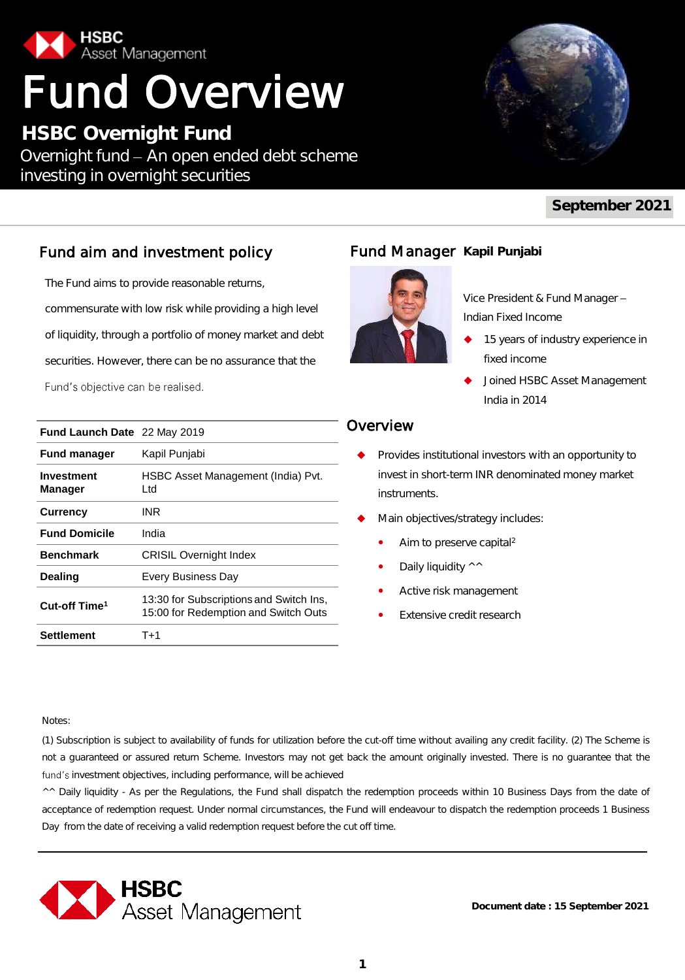

# Fund Overview

**HSBC Overnight Fund** Overnight fund - An open ended debt scheme investing in overnight securities



## **September 2021**

## Fund aim and investment policy

The Fund aims to provide reasonable returns, commensurate with low risk while providing a high level of liquidity, through a portfolio of money market and debt securities. However, there can be no assurance that the Fund's objective can be realised.

| <b>Fund Launch Date</b> 22 May 2019 |                                                                                 |
|-------------------------------------|---------------------------------------------------------------------------------|
| <b>Fund manager</b>                 | Kapil Punjabi                                                                   |
| Investment<br><b>Manager</b>        | HSBC Asset Management (India) Pvt.<br>Ltd.                                      |
| <b>Currency</b>                     | INR                                                                             |
| <b>Fund Domicile</b>                | India                                                                           |
| <b>Benchmark</b>                    | <b>CRISIL Overnight Index</b>                                                   |
| <b>Dealing</b>                      | <b>Every Business Day</b>                                                       |
| Cut-off Time <sup>1</sup>           | 13:30 for Subscriptions and Switch Ins,<br>15:00 for Redemption and Switch Outs |
| <b>Settlement</b>                   | $T+1$                                                                           |

## **Fund Manager Kapil Punjabi**



Vice President & Fund Manager Indian Fixed Income

- 15 years of industry experience in fixed income
- Joined HSBC Asset Management India in 2014

## Overview

- Provides institutional investors with an opportunity to invest in short-term INR denominated money market instruments.
- Main objectives/strategy includes:
	- Aim to preserve capital<sup>2</sup>
	- Daily liquidity ^^
	- Active risk management
	- Extensive credit research

Notes:

(1) Subscription is subject to availability of funds for utilization before the cut-off time without availing any credit facility. (2) The Scheme is not a guaranteed or assured return Scheme. Investors may not get back the amount originally invested. There is no guarantee that the fund's investment objectives, including performance, will be achieved

^^ Daily liquidity - As per the Regulations, the Fund shall dispatch the redemption proceeds within 10 Business Days from the date of acceptance of redemption request. Under normal circumstances, the Fund will endeavour to dispatch the redemption proceeds 1 Business Day from the date of receiving a valid redemption request before the cut off time.



**Document date : 15 September 2021**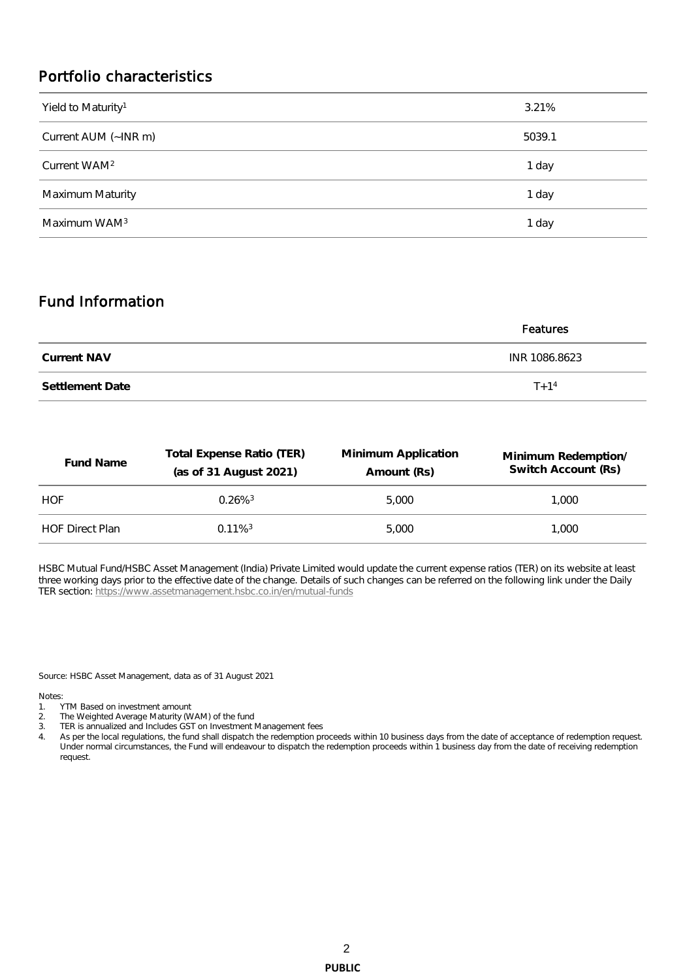## Portfolio characteristics

| Yield to Maturity <sup>1</sup> | 3.21%  |
|--------------------------------|--------|
| Current AUM (~INR m)           | 5039.1 |
| Current WAM <sup>2</sup>       | 1 day  |
| Maximum Maturity               | 1 day  |
| Maximum WAM <sup>3</sup>       | 1 day  |

## Fund Information

|                 | Features      |
|-----------------|---------------|
| Current NAV     | INR 1086.8623 |
| Settlement Date | $T + 1^4$     |

| Fund Name              | Total Expense Ratio (TER)<br>(as of 31 August 2021) | Minimum Application<br>Amount (Rs) | Minimum Redemption/<br>Switch Account (Rs) |
|------------------------|-----------------------------------------------------|------------------------------------|--------------------------------------------|
| HOF                    | $0.26\%$ <sup>3</sup>                               | 5.000                              | 1.000                                      |
| <b>HOF Direct Plan</b> | $0.11\%$ <sup>3</sup>                               | 5.000                              | 1.000                                      |

HSBC Mutual Fund/HSBC Asset Management (India) Private Limited would update the current expense ratios (TER) on its website at least three working days prior to the effective date of the change. Details of such changes can be referred on the following link under the Daily TER section:<https://www.assetmanagement.hsbc.co.in/en/mutual-funds>

Source: HSBC Asset Management, data as of 31 August 2021

Notes:

- 1. YTM Based on investment amount
- 2. The Weighted Average Maturity (WAM) of the fund
- 3. TER is annualized and Includes GST on Investment Management fees
- 4. As per the local regulations, the fund shall dispatch the redemption proceeds within 10 business days from the date of acceptance of redemption request. Under normal circumstances, the Fund will endeavour to dispatch the redemption proceeds within 1 business day from the date of receiving redemption request.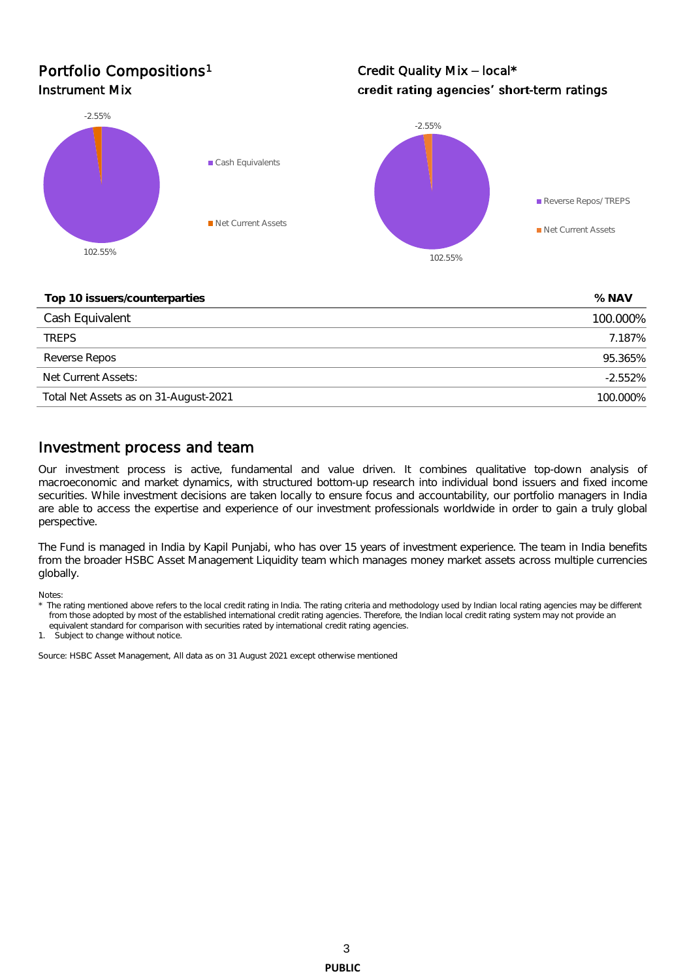## Portfolio Compositions<sup>1</sup>

Credit Quality Mix - local\* Instrument Mix **Alternative Controller Controller Controller Controller Controller Controller Controller Controller Controller Controller Controller Controller Controller Controller Controller Controller Controller Control** 



**Top 10 issuers/counterparties % NAV**

| . op . ou . oo . or . oo an or par oo |           |
|---------------------------------------|-----------|
| Cash Equivalent                       | 100.000%  |
| <b>TRFPS</b>                          | 7.187%    |
| Reverse Repos                         | 95.365%   |
| Net Current Assets:                   | $-2.552%$ |
| Total Net Assets as on 31-August-2021 | 100.000%  |

## Investment process and team

Our investment process is active, fundamental and value driven. It combines qualitative top-down analysis of macroeconomic and market dynamics, with structured bottom-up research into individual bond issuers and fixed income securities. While investment decisions are taken locally to ensure focus and accountability, our portfolio managers in India are able to access the expertise and experience of our investment professionals worldwide in order to gain a truly global perspective.

The Fund is managed in India by Kapil Punjabi, who has over 15 years of investment experience. The team in India benefits from the broader HSBC Asset Management Liquidity team which manages money market assets across multiple currencies globally.

Notes:

1. Subject to change without notice.

Source: HSBC Asset Management, All data as on 31 August 2021 except otherwise mentioned

The rating mentioned above refers to the local credit rating in India. The rating criteria and methodology used by Indian local rating agencies may be different from those adopted by most of the established international credit rating agencies. Therefore, the Indian local credit rating system may not provide an equivalent standard for comparison with securities rated by international credit rating agencies.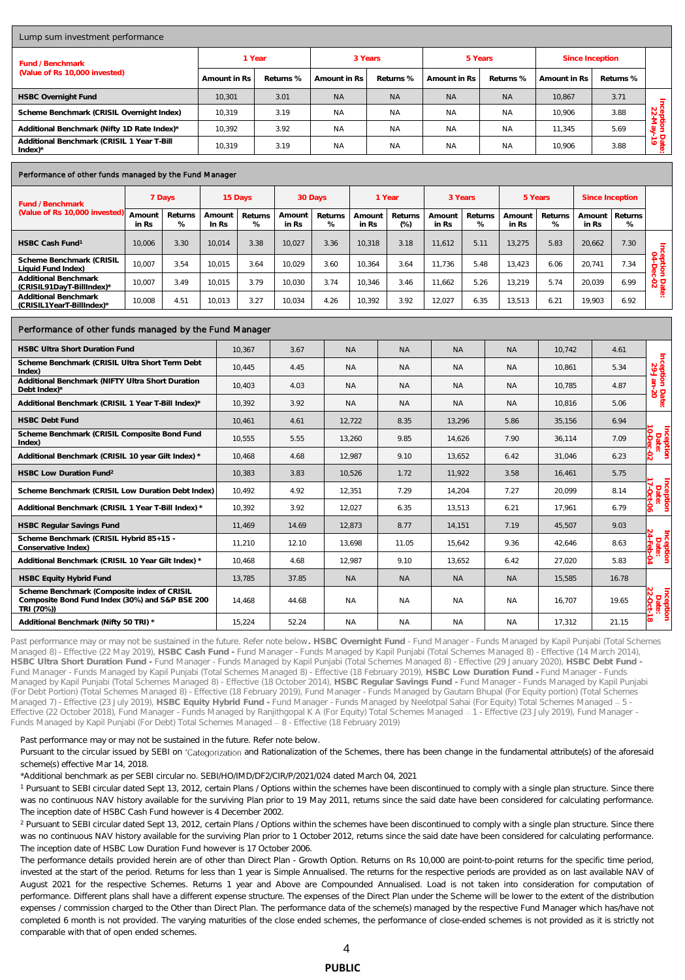| Lump sum investment performance                                    |              |           |               |           |              |           |                 |           |                             |  |  |
|--------------------------------------------------------------------|--------------|-----------|---------------|-----------|--------------|-----------|-----------------|-----------|-----------------------------|--|--|
| Fund / Benchmark<br>(Value of Rs 10,000 invested)                  | 1 Year       |           | 3 Years       |           | 5 Years      |           | Since Inception |           |                             |  |  |
|                                                                    | Amount in Rs | Returns % | Amount in Rs. | Returns % | Amount in Rs | Returns % | Amount in Rs    | Returns % |                             |  |  |
| <b>HSBC Overnight Fund</b>                                         | 10.301       | 3.01      | <b>NA</b>     | <b>NA</b> | <b>NA</b>    | <b>NA</b> | 10.867          | 3.71      |                             |  |  |
| Scheme Benchmark (CRISIL Overnight Index)                          | 10,319       | 3.19      | <b>NA</b>     | <b>NA</b> | <b>NA</b>    | <b>NA</b> | 10.906          | 3.88      | Incep<br>$\frac{22}{22}$    |  |  |
| Additional Benchmark (Nifty 1D Rate Index)*                        | 10.392       | 3.92      | <b>NA</b>     | <b>NA</b> | <b>NA</b>    | <b>NA</b> | 11.345          | 5.69      | ∮ ट्वें<br>$\approx$        |  |  |
| Additional Benchmark (CRISIL 1 Year T-Bill<br>$Index$ <sup>*</sup> | 10.319       | 3.19      | <b>NA</b>     | <b>NA</b> | <b>NA</b>    | <b>NA</b> | 10.906          | 3.88      | Dat<br>-79<br>$\mathcal{P}$ |  |  |

#### Performance of other funds managed by the Fund Manager

| Fund / Benchmark                                  |                 | 7 Days       | 15 Days         |              | 30 Days         |              | Year            |                 | 3 Years         |              | 5 Years         |                 | Since Inception |              |                  |
|---------------------------------------------------|-----------------|--------------|-----------------|--------------|-----------------|--------------|-----------------|-----------------|-----------------|--------------|-----------------|-----------------|-----------------|--------------|------------------|
| (Value of Rs 10,000 invested)                     | Amount<br>in Rs | Returns<br>% | Amount<br>In Rs | Returns<br>% | Amount<br>in Rs | Returns<br>% | Amount<br>in Rs | Returns<br>(% ) | Amount<br>in Rs | Returns<br>% | Amount<br>in Rs | Returns<br>$\%$ | Amount<br>in Rs | Returns<br>% |                  |
| HSBC Cash Fund <sup>1</sup>                       | 10.006          | 3.30         | 10.014          | 3.38         | 10.027          | 3.36         | 10.318          | 3.18            | 11.612          | 5.11         | 13.275          | 5.83            | 20.662          | 7.30         |                  |
| Scheme Benchmark (CRISIL<br>Liquid Fund Index)    | 10.007          | 3.54         | 10.015          | 3.64         | 10.029          | 3.60         | 10.364          | 3.64            | 11.736          | 5.48         | 13.423          | 6.06            | 20.741          | 7.34         | pe<br>94<br>fë g |
| Additional Benchmark<br>(CRISIL91DayT-BillIndex)* | 10.007          | 3.49         | 10.015          | 3.79         | 10.030          | 3.74         | 10.346          | 3.46            | 11.662          | 5.26         | 13.219          | 5.74            | 20.039          | 6.99         | Date<br>02       |
| Additional Benchmark<br>(CRISIL1YearT-BillIndex)* | 10.008          | 4.51         | 10.013          | 3.27         | 10.034          | 4.26         | 10.392          | 3.92            | 12.027          | 6.35         | 13.513          | 6.21            | 19.903          | 6.92         |                  |

### Performance of other funds managed by the Fund Manager

| <b>HSBC Ultra Short Duration Fund</b>                                                                        | 10.367 | 3.67  | <b>NA</b> | <b>NA</b> | <b>NA</b> | <b>NA</b> | 10.742 | 4.61  |                         |
|--------------------------------------------------------------------------------------------------------------|--------|-------|-----------|-----------|-----------|-----------|--------|-------|-------------------------|
| Scheme Benchmark (CRISIL Ultra Short Term Debt<br>Index)                                                     | 10.445 | 4.45  | <b>NA</b> | <b>NA</b> | <b>NA</b> | <b>NA</b> | 10.861 | 5.34  | Inception<br>29-Jan-    |
| Additional Benchmark (NIFTY Ultra Short Duration<br>Debt Index)*                                             | 10.403 | 4.03  | <b>NA</b> | <b>NA</b> | <b>NA</b> | <b>NA</b> | 10.785 | 4.87  | lah-                    |
| Additional Benchmark (CRISIL 1 Year T-Bill Index)*                                                           | 10.392 | 3.92  | <b>NA</b> | <b>NA</b> | <b>NA</b> | <b>NA</b> | 10.816 | 5.06  | Date:                   |
| <b>HSBC Debt Fund</b>                                                                                        | 10.461 | 4.61  | 12,722    | 8.35      | 13,296    | 5.86      | 35,156 | 6.94  |                         |
| Scheme Benchmark (CRISIL Composite Bond Fund<br>Index)                                                       | 10,555 | 5.55  | 13,260    | 9.85      | 14.626    | 7.90      | 36.114 | 7.09  | Inception<br>Date:<br>Ġ |
| Additional Benchmark (CRISIL 10 year Gilt Index) *                                                           | 10.468 | 4.68  | 12.987    | 9.10      | 13.652    | 6.42      | 31.046 | 6.23  | Ċ.                      |
| HSBC Low Duration Fund <sup>2</sup>                                                                          | 10.383 | 3.83  | 10,526    | 1.72      | 11,922    | 3.58      | 16,461 | 5.75  |                         |
| Scheme Benchmark (CRISIL Low Duration Debt Index)                                                            | 10.492 | 4.92  | 12,351    | 7.29      | 14.204    | 7.27      | 20.099 | 8.14  | Inception<br>Date:      |
| Additional Benchmark (CRISIL 1 Year T-Bill Index) *                                                          | 10.392 | 3.92  | 12,027    | 6.35      | 13,513    | 6.21      | 17.961 | 6.79  | ခြ                      |
| <b>HSBC Regular Savings Fund</b>                                                                             | 11.469 | 14.69 | 12,873    | 8.77      | 14,151    | 7.19      | 45,507 | 9.03  |                         |
| Scheme Benchmark (CRISIL Hybrid 85+15 -<br>Conservative Index)                                               | 11.210 | 12.10 | 13.698    | 11.05     | 15.642    | 9.36      | 42.646 | 8.63  | Inception<br>Date:      |
| Additional Benchmark (CRISIL 10 Year Gilt Index) *                                                           | 10.468 | 4.68  | 12.987    | 9.10      | 13,652    | 6.42      | 27,020 | 5.83  | PS.                     |
| HSBC Equity Hybrid Fund                                                                                      | 13,785 | 37.85 | <b>NA</b> | <b>NA</b> | <b>NA</b> | <b>NA</b> | 15,585 | 16.78 |                         |
| Scheme Benchmark (Composite index of CRISIL<br>Composite Bond Fund Index (30%) and S&P BSE 200<br>TRI (70%)) | 14.468 | 44.68 | <b>NA</b> | <b>NA</b> | <b>NA</b> | <b>NA</b> | 16,707 | 19.65 | Inception<br>Date:      |
| Additional Benchmark (Nifty 50 TRI) *                                                                        | 15.224 | 52.24 | <b>NA</b> | <b>NA</b> | <b>NA</b> | <b>NA</b> | 17.312 | 21.15 | $\infty$                |

Past performance may or may not be sustained in the future. Refer note below**. HSBC Overnight Fund** - Fund Manager - Funds Managed by Kapil Punjabi (Total Schemes Managed 8) - Effective (22 May 2019), **HSBC Cash Fund -** Fund Manager - Funds Managed by Kapil Punjabi (Total Schemes Managed 8) - Effective (14 March 2014), **HSBC Ultra Short Duration Fund -** Fund Manager - Funds Managed by Kapil Punjabi (Total Schemes Managed 8) - Effective (29 January 2020), **HSBC Debt Fund -** Fund Manager - Funds Managed by Kapil Punjabi (Total Schemes Managed 8) - Effective (18 February 2019), **HSBC Low Duration Fund -** Fund Manager - Funds Managed by Kapil Punjabi (Total Schemes Managed 8) - Effective (18 October 2014), **HSBC Regular Savings Fund -** Fund Manager - Funds Managed by Kapil Punjabi (For Debt Portion) (Total Schemes Managed 8) - Effective (18 February 2019), Fund Manager - Funds Managed by Gautam Bhupal (For Equity portion) (Total Schemes Managed 7) - Effective (23 July 2019), **HSBC Equity Hybrid Fund -** Fund Manager - Funds Managed by Neelotpal Sahai (For Equity) Total Schemes Managed 5 - Effective (22 October 2018), Fund Manager - Funds Managed by Ranjithgopal K A (For Equity) Total Schemes Managed 1 - Effective (23 July 2019), Fund Manager - Funds Managed by Kapil Punjabi (For Debt) Total Schemes Managed - 8 - Effective (18 February 2019)

Past performance may or may not be sustained in the future. Refer note below.

Pursuant to the circular issued by SEBI on 'Categorization and Rationalization of the Schemes, there has been change in the fundamental attribute(s) of the aforesaid scheme(s) effective Mar 14, 2018.

\*Additional benchmark as per SEBI circular no. SEBI/HO/IMD/DF2/CIR/P/2021/024 dated March 04, 2021

<sup>1</sup> Pursuant to SEBI circular dated Sept 13, 2012, certain Plans / Options within the schemes have been discontinued to comply with a single plan structure. Since there was no continuous NAV history available for the surviving Plan prior to 19 May 2011, returns since the said date have been considered for calculating performance. The inception date of HSBC Cash Fund however is 4 December 2002.

<sup>2</sup> Pursuant to SEBI circular dated Sept 13, 2012, certain Plans / Options within the schemes have been discontinued to comply with a single plan structure. Since there was no continuous NAV history available for the surviving Plan prior to 1 October 2012, returns since the said date have been considered for calculating performance. The inception date of HSBC Low Duration Fund however is 17 October 2006.

The performance details provided herein are of other than Direct Plan - Growth Option. Returns on Rs 10,000 are point-to-point returns for the specific time period, invested at the start of the period. Returns for less than 1 year is Simple Annualised. The returns for the respective periods are provided as on last available NAV of August 2021 for the respective Schemes. Returns 1 year and Above are Compounded Annualised. Load is not taken into consideration for computation of performance. Different plans shall have a different expense structure. The expenses of the Direct Plan under the Scheme will be lower to the extent of the distribution expenses / commission charged to the Other than Direct Plan. The performance data of the scheme(s) managed by the respective Fund Manager which has/have not completed 6 month is not provided. The varying maturities of the close ended schemes, the performance of close-ended schemes is not provided as it is strictly not comparable with that of open ended schemes.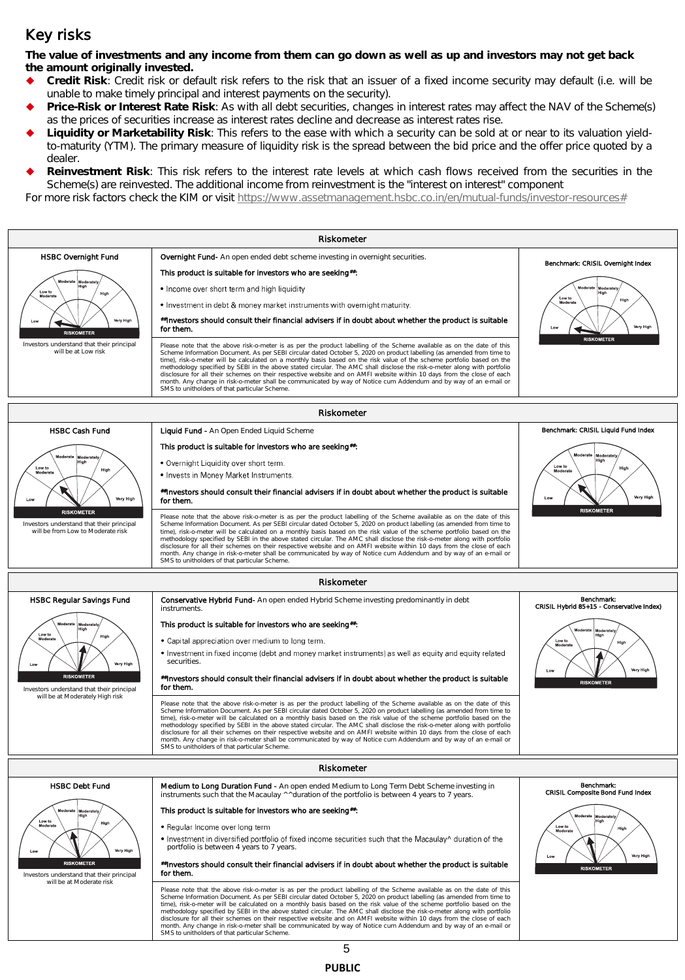## Key risks

**The value of investments and any income from them can go down as well as up and investors may not get back the amount originally invested.** 

- **Credit Risk**: Credit risk or default risk refers to the risk that an issuer of a fixed income security may default (i.e. will be unable to make timely principal and interest payments on the security).
- **Price-Risk or Interest Rate Risk**: As with all debt securities, changes in interest rates may affect the NAV of the Scheme(s) as the prices of securities increase as interest rates decline and decrease as interest rates rise.
- **Liquidity or Marketability Risk**: This refers to the ease with which a security can be sold at or near to its valuation yieldto-maturity (YTM). The primary measure of liquidity risk is the spread between the bid price and the offer price quoted by a dealer.
- **Reinvestment Risk**: This risk refers to the interest rate levels at which cash flows received from the securities in the Scheme(s) are reinvested. The additional income from reinvestment is the "interest on interest" component

For more risk factors check the KIM or visit [https://www.assetmanagement.hsbc.co.in/en/mutual-funds/investor-resources#](https://www.assetmanagement.hsbc.co.in/en/mutual-funds/investor-resources)



**PUBLIC**